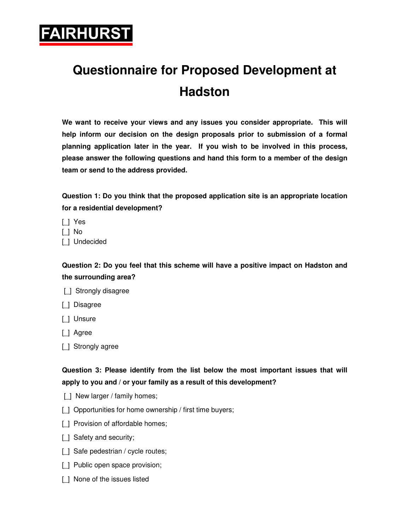

## **Questionnaire for Proposed Development at Hadston**

**We want to receive your views and any issues you consider appropriate. This will help inform our decision on the design proposals prior to submission of a formal planning application later in the year. If you wish to be involved in this process, please answer the following questions and hand this form to a member of the design team or send to the address provided.** 

**Question 1: Do you think that the proposed application site is an appropriate location for a residential development?** 

- [\_] Yes
- [\_] No
- [ ] Undecided

**Question 2: Do you feel that this scheme will have a positive impact on Hadston and the surrounding area?** 



- [\_] Disagree
- [\_] Unsure
- [] Agree
- [ ] Strongly agree

## **Question 3: Please identify from the list below the most important issues that will apply to you and / or your family as a result of this development?**

- [] New larger / family homes;
- [] Opportunities for home ownership / first time buyers;
- [] Provision of affordable homes;
- [ ] Safety and security;
- [] Safe pedestrian / cycle routes;
- [] Public open space provision;
- [] None of the issues listed